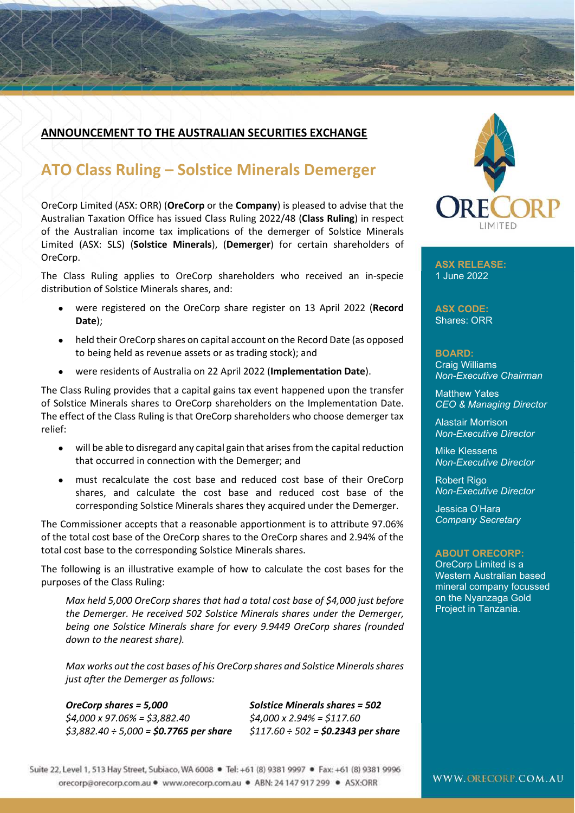### **ANNOUNCEMENT TO THE AUSTRALIAN SECURITIES EXCHANGE**

## **ATO Class Ruling – Solstice Minerals Demerger**

OreCorp Limited (ASX: ORR) (**OreCorp** or the **Company**) is pleased to advise that the Australian Taxation Office has issued Class Ruling 2022/48 (**Class Ruling**) in respect of the Australian income tax implications of the demerger of Solstice Minerals Limited (ASX: SLS) (**Solstice Minerals**), (**Demerger**) for certain shareholders of OreCorp.

The Class Ruling applies to OreCorp shareholders who received an in-specie distribution of Solstice Minerals shares, and:

- were registered on the OreCorp share register on 13 April 2022 (**Record Date**);
- held their OreCorp shares on capital account on the Record Date (as opposed to being held as revenue assets or as trading stock); and
- were residents of Australia on 22 April 2022 (**Implementation Date**).

The Class Ruling provides that a capital gains tax event happened upon the transfer of Solstice Minerals shares to OreCorp shareholders on the Implementation Date. The effect of the Class Ruling is that OreCorp shareholders who choose demerger tax relief:

- will be able to disregard any capital gain that arises from the capital reduction that occurred in connection with the Demerger; and
- must recalculate the cost base and reduced cost base of their OreCorp shares, and calculate the cost base and reduced cost base of the corresponding Solstice Minerals shares they acquired under the Demerger.

The Commissioner accepts that a reasonable apportionment is to attribute 97.06% of the total cost base of the OreCorp shares to the OreCorp shares and 2.94% of the total cost base to the corresponding Solstice Minerals shares.

The following is an illustrative example of how to calculate the cost bases for the purposes of the Class Ruling:

*Max held 5,000 OreCorp shares that had a total cost base of \$4,000 just before the Demerger. He received 502 Solstice Minerals shares under the Demerger, being one Solstice Minerals share for every 9.9449 OreCorp shares (rounded down to the nearest share).* 

*Max works out the cost bases of his OreCorp shares and Solstice Minerals shares just after the Demerger as follows:* 

*\$4,000 x 97.06% = \$3,882.40 \$4,000 x 2.94% = \$117.60 \$3,882.40 ÷ 5,000 = \$0.7765 per share \$117.60 ÷ 502 = \$0.2343 per share*

*OreCorp shares = 5,000 Solstice Minerals shares = 502* 



**ASX RELEASE:**  1 June 2022

**ASX CODE:**  Shares: ORR

**BOARD:**  Craig Williams *Non-Executive Chairman* 

Matthew Yates *CEO & Managing Director* 

Alastair Morrison *Non-Executive Director* 

Mike Klessens *Non-Executive Director* 

Robert Rigo *Non-Executive Director* 

Jessica O'Hara *Company Secretary* 

#### **ABOUT ORECORP:**

OreCorp Limited is a Western Australian based mineral company focussed on the Nyanzaga Gold Project in Tanzania.

Suite 22, Level 1, 513 Hay Street, Subiaco, WA 6008 · Tel: +61 (8) 9381 9997 · Fax: +61 (8) 9381 9996 orecorp@orecorp.com.au · www.orecorp.com.au · ABN: 24 147 917 299 · ASX:ORR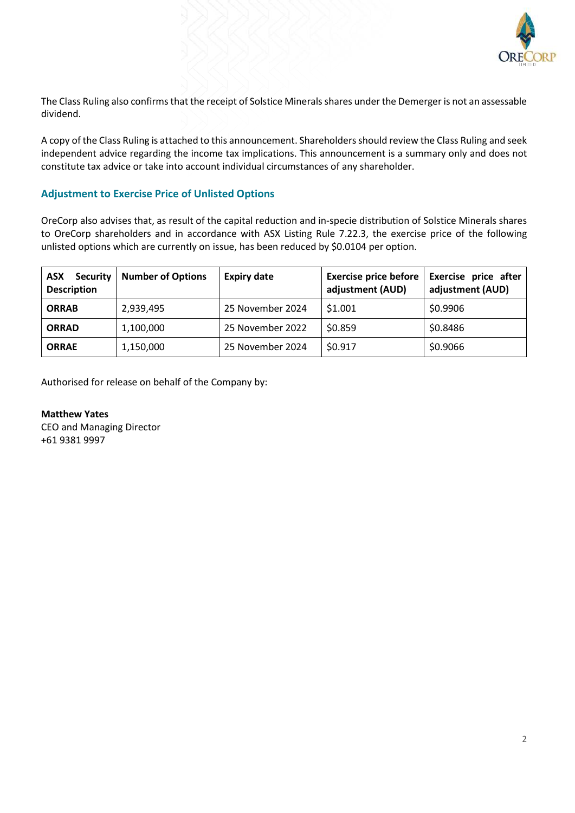

The Class Ruling also confirms that the receipt of Solstice Minerals shares under the Demerger is not an assessable dividend.

A copy of the Class Ruling is attached to this announcement. Shareholders should review the Class Ruling and seek independent advice regarding the income tax implications. This announcement is a summary only and does not constitute tax advice or take into account individual circumstances of any shareholder.

#### **Adjustment to Exercise Price of Unlisted Options**

OreCorp also advises that, as result of the capital reduction and in-specie distribution of Solstice Minerals shares to OreCorp shareholders and in accordance with ASX Listing Rule 7.22.3, the exercise price of the following unlisted options which are currently on issue, has been reduced by \$0.0104 per option.

| <b>Security</b><br><b>ASX</b><br><b>Description</b> | <b>Number of Options</b> | <b>Expiry date</b> | <b>Exercise price before</b><br>adjustment (AUD) | <b>Exercise price after</b><br>adjustment (AUD) |
|-----------------------------------------------------|--------------------------|--------------------|--------------------------------------------------|-------------------------------------------------|
| <b>ORRAB</b>                                        | 2,939,495                | 25 November 2024   | \$1.001                                          | \$0.9906                                        |
| <b>ORRAD</b>                                        | 1,100,000                | 25 November 2022   | \$0.859                                          | \$0.8486                                        |
| <b>ORRAE</b>                                        | 1,150,000                | 25 November 2024   | \$0.917                                          | \$0.9066                                        |

Authorised for release on behalf of the Company by:

**Matthew Yates**  CEO and Managing Director +61 9381 9997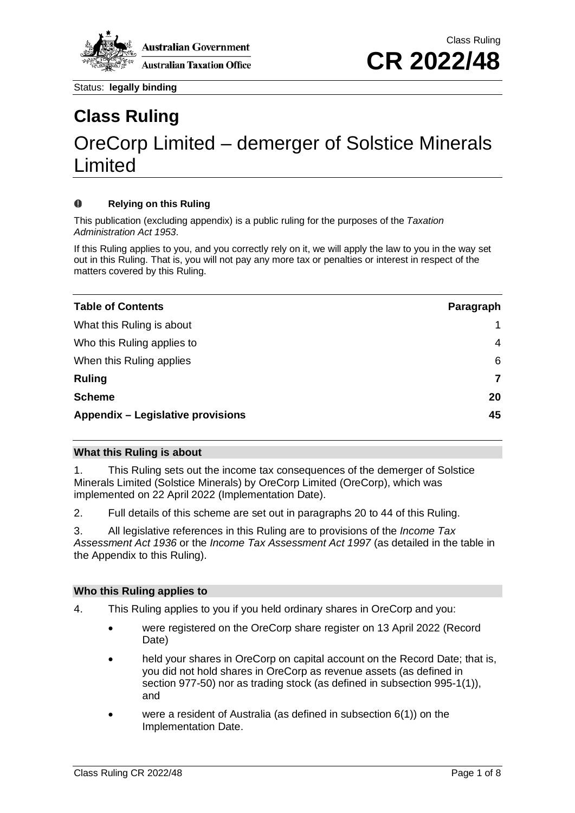

# **Class Ruling** OreCorp Limited – demerger of Solstice Minerals Limited

#### $\mathbf o$ **Relying on this Ruling**

This publication (excluding appendix) is a public ruling for the purposes of the *Taxation Administration Act 1953*.

If this Ruling applies to you, and you correctly rely on it, we will apply the law to you in the way set out in this Ruling. That is, you will not pay any more tax or penalties or interest in respect of the matters covered by this Ruling.

| <b>Table of Contents</b>          | Paragraph |
|-----------------------------------|-----------|
| What this Ruling is about         |           |
| Who this Ruling applies to        | 4         |
| When this Ruling applies          | 6         |
| <b>Ruling</b>                     | 7         |
| <b>Scheme</b>                     | 20        |
| Appendix - Legislative provisions | 45        |

#### **What this Ruling is about**

1. This Ruling sets out the income tax consequences of the demerger of Solstice Minerals Limited (Solstice Minerals) by OreCorp Limited (OreCorp), which was implemented on 22 April 2022 (Implementation Date).

2. Full details of this scheme are set out in paragraphs 20 to 44 of this Ruling.

3. All legislative references in this Ruling are to provisions of the *Income Tax Assessment Act 1936* or the *Income Tax Assessment Act 1997* (as detailed in the table in the Appendix to this Ruling).

#### **Who this Ruling applies to**

- 4. This Ruling applies to you if you held ordinary shares in OreCorp and you:
	- were registered on the OreCorp share register on 13 April 2022 (Record Date)
	- held your shares in OreCorp on capital account on the Record Date; that is, you did not hold shares in OreCorp as revenue assets (as defined in section 977-50) nor as trading stock (as defined in subsection 995-1(1)), and
	- were a resident of Australia (as defined in subsection  $6(1)$ ) on the Implementation Date.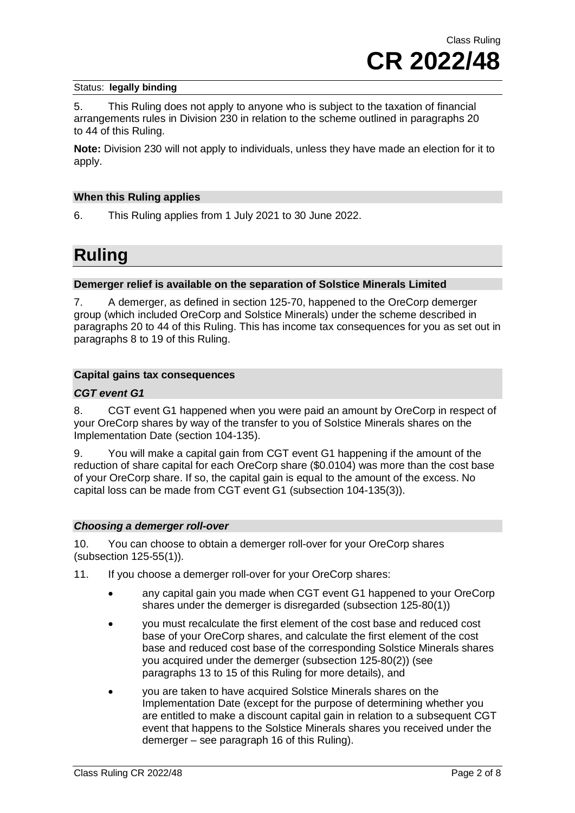5. This Ruling does not apply to anyone who is subject to the taxation of financial arrangements rules in Division 230 in relation to the scheme outlined in paragraphs 20 to 44 of this Ruling.

**Note:** Division 230 will not apply to individuals, unless they have made an election for it to apply.

#### **When this Ruling applies**

6. This Ruling applies from 1 July 2021 to 30 June 2022.

### **Ruling**

#### **Demerger relief is available on the separation of Solstice Minerals Limited**

7. A demerger, as defined in section 125-70, happened to the OreCorp demerger group (which included OreCorp and Solstice Minerals) under the scheme described in paragraphs 20 to 44 of this Ruling. This has income tax consequences for you as set out in paragraphs 8 to 19 of this Ruling.

#### **Capital gains tax consequences**

#### *CGT event G1*

8. CGT event G1 happened when you were paid an amount by OreCorp in respect of your OreCorp shares by way of the transfer to you of Solstice Minerals shares on the Implementation Date (section 104-135).

9. You will make a capital gain from CGT event G1 happening if the amount of the reduction of share capital for each OreCorp share (\$0.0104) was more than the cost base of your OreCorp share. If so, the capital gain is equal to the amount of the excess. No capital loss can be made from CGT event G1 (subsection 104-135(3)).

#### *Choosing a demerger roll-over*

10. You can choose to obtain a demerger roll-over for your OreCorp shares (subsection 125-55(1)).

11. If you choose a demerger roll-over for your OreCorp shares:

- any capital gain you made when CGT event G1 happened to your OreCorp shares under the demerger is disregarded (subsection 125-80(1))
- you must recalculate the first element of the cost base and reduced cost base of your OreCorp shares, and calculate the first element of the cost base and reduced cost base of the corresponding Solstice Minerals shares you acquired under the demerger (subsection 125-80(2)) (see paragraphs 13 to 15 of this Ruling for more details), and
- you are taken to have acquired Solstice Minerals shares on the Implementation Date (except for the purpose of determining whether you are entitled to make a discount capital gain in relation to a subsequent CGT event that happens to the Solstice Minerals shares you received under the demerger – see paragraph 16 of this Ruling).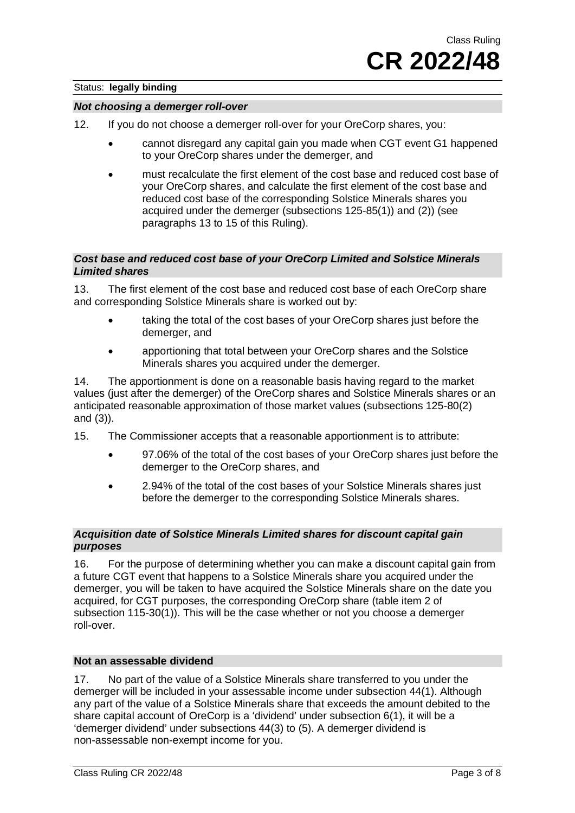#### *Not choosing a demerger roll-over*

- 12. If you do not choose a demerger roll-over for your OreCorp shares, you:
	- cannot disregard any capital gain you made when CGT event G1 happened to your OreCorp shares under the demerger, and
	- must recalculate the first element of the cost base and reduced cost base of your OreCorp shares, and calculate the first element of the cost base and reduced cost base of the corresponding Solstice Minerals shares you acquired under the demerger (subsections 125-85(1)) and (2)) (see paragraphs 13 to 15 of this Ruling).

#### *Cost base and reduced cost base of your OreCorp Limited and Solstice Minerals Limited shares*

13. The first element of the cost base and reduced cost base of each OreCorp share and corresponding Solstice Minerals share is worked out by:

- taking the total of the cost bases of your OreCorp shares just before the demerger, and
- apportioning that total between your OreCorp shares and the Solstice Minerals shares you acquired under the demerger.

14. The apportionment is done on a reasonable basis having regard to the market values (just after the demerger) of the OreCorp shares and Solstice Minerals shares or an anticipated reasonable approximation of those market values (subsections 125-80(2) and (3)).

- 15. The Commissioner accepts that a reasonable apportionment is to attribute:
	- 97.06% of the total of the cost bases of your OreCorp shares just before the demerger to the OreCorp shares, and
	- 2.94% of the total of the cost bases of your Solstice Minerals shares just before the demerger to the corresponding Solstice Minerals shares.

#### *Acquisition date of Solstice Minerals Limited shares for discount capital gain purposes*

16. For the purpose of determining whether you can make a discount capital gain from a future CGT event that happens to a Solstice Minerals share you acquired under the demerger, you will be taken to have acquired the Solstice Minerals share on the date you acquired, for CGT purposes, the corresponding OreCorp share (table item 2 of subsection 115-30(1)). This will be the case whether or not you choose a demerger roll-over.

#### **Not an assessable dividend**

17. No part of the value of a Solstice Minerals share transferred to you under the demerger will be included in your assessable income under subsection 44(1). Although any part of the value of a Solstice Minerals share that exceeds the amount debited to the share capital account of OreCorp is a 'dividend' under subsection 6(1), it will be a 'demerger dividend' under subsections 44(3) to (5). A demerger dividend is non-assessable non-exempt income for you.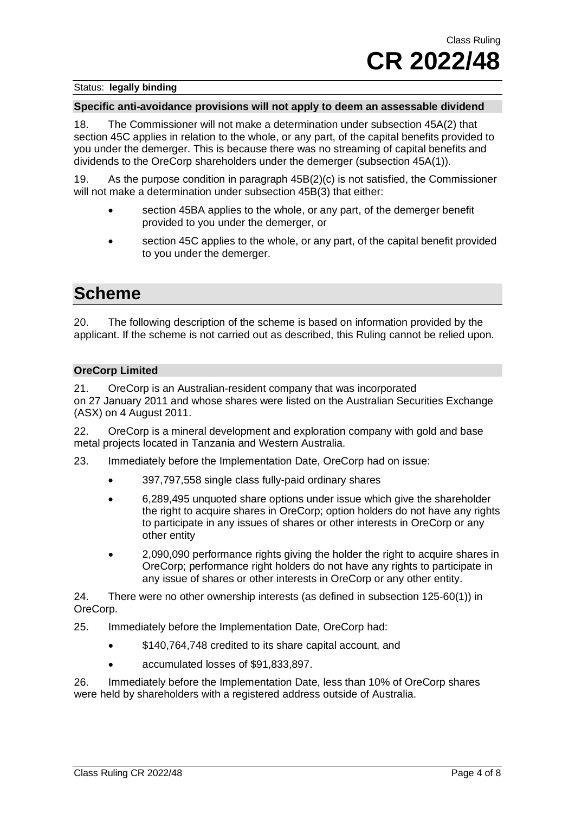#### **Specific anti-avoidance provisions will not apply to deem an assessable dividend**

18. The Commissioner will not make a determination under subsection 45A(2) that section 45C applies in relation to the whole, or any part, of the capital benefits provided to you under the demerger. This is because there was no streaming of capital benefits and dividends to the OreCorp shareholders under the demerger (subsection 45A(1)).

19. As the purpose condition in paragraph 45B(2)(c) is not satisfied, the Commissioner will not make a determination under subsection 45B(3) that either:

- section 45BA applies to the whole, or any part, of the demerger benefit provided to you under the demerger, or
- section 45C applies to the whole, or any part, of the capital benefit provided to you under the demerger.

### **Scheme**

20. The following description of the scheme is based on information provided by the applicant. If the scheme is not carried out as described, this Ruling cannot be relied upon.

#### **OreCorp Limited**

21. OreCorp is an Australian-resident company that was incorporated on 27 January 2011 and whose shares were listed on the Australian Securities Exchange (ASX) on 4 August 2011.

22. OreCorp is a mineral development and exploration company with gold and base metal projects located in Tanzania and Western Australia.

23. Immediately before the Implementation Date, OreCorp had on issue:

- 397,797,558 single class fully-paid ordinary shares
- 6,289,495 unquoted share options under issue which give the shareholder the right to acquire shares in OreCorp; option holders do not have any rights to participate in any issues of shares or other interests in OreCorp or any other entity
- 2,090,090 performance rights giving the holder the right to acquire shares in OreCorp; performance right holders do not have any rights to participate in any issue of shares or other interests in OreCorp or any other entity.

24. There were no other ownership interests (as defined in subsection 125-60(1)) in OreCorp.

25. Immediately before the Implementation Date, OreCorp had:

- \$140,764,748 credited to its share capital account, and
- accumulated losses of \$91,833,897.

26. Immediately before the Implementation Date, less than 10% of OreCorp shares were held by shareholders with a registered address outside of Australia.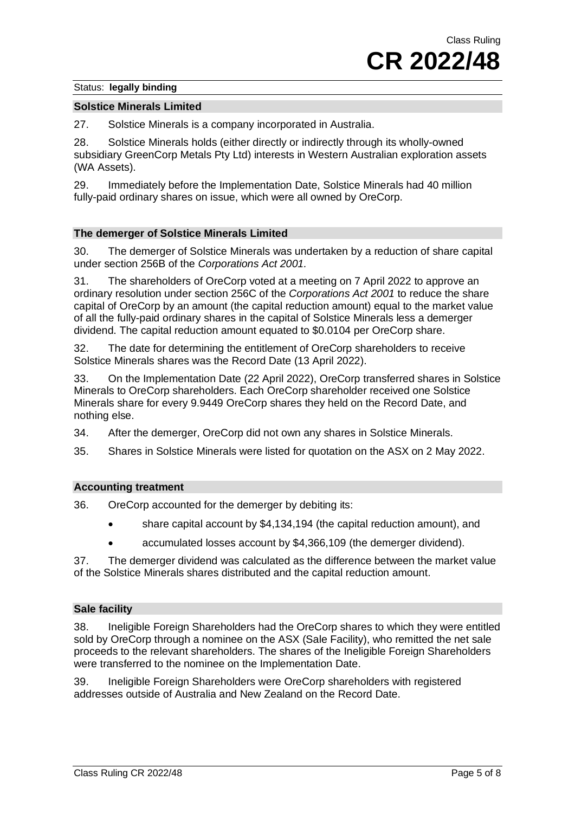#### **Solstice Minerals Limited**

27. Solstice Minerals is a company incorporated in Australia.

28. Solstice Minerals holds (either directly or indirectly through its wholly-owned subsidiary GreenCorp Metals Pty Ltd) interests in Western Australian exploration assets (WA Assets).

29. Immediately before the Implementation Date, Solstice Minerals had 40 million fully-paid ordinary shares on issue, which were all owned by OreCorp.

#### **The demerger of Solstice Minerals Limited**

30. The demerger of Solstice Minerals was undertaken by a reduction of share capital under section 256B of the *Corporations Act 2001.*

31. The shareholders of OreCorp voted at a meeting on 7 April 2022 to approve an ordinary resolution under section 256C of the *Corporations Act 2001* to reduce the share capital of OreCorp by an amount (the capital reduction amount) equal to the market value of all the fully-paid ordinary shares in the capital of Solstice Minerals less a demerger dividend. The capital reduction amount equated to \$0.0104 per OreCorp share.

32. The date for determining the entitlement of OreCorp shareholders to receive Solstice Minerals shares was the Record Date (13 April 2022).

33. On the Implementation Date (22 April 2022), OreCorp transferred shares in Solstice Minerals to OreCorp shareholders. Each OreCorp shareholder received one Solstice Minerals share for every 9.9449 OreCorp shares they held on the Record Date, and nothing else.

34. After the demerger, OreCorp did not own any shares in Solstice Minerals.

35. Shares in Solstice Minerals were listed for quotation on the ASX on 2 May 2022.

#### **Accounting treatment**

36. OreCorp accounted for the demerger by debiting its:

- share capital account by \$4,134,194 (the capital reduction amount), and
- accumulated losses account by \$4,366,109 (the demerger dividend).

37. The demerger dividend was calculated as the difference between the market value of the Solstice Minerals shares distributed and the capital reduction amount.

#### **Sale facility**

38. Ineligible Foreign Shareholders had the OreCorp shares to which they were entitled sold by OreCorp through a nominee on the ASX (Sale Facility), who remitted the net sale proceeds to the relevant shareholders. The shares of the Ineligible Foreign Shareholders were transferred to the nominee on the Implementation Date.

39. Ineligible Foreign Shareholders were OreCorp shareholders with registered addresses outside of Australia and New Zealand on the Record Date.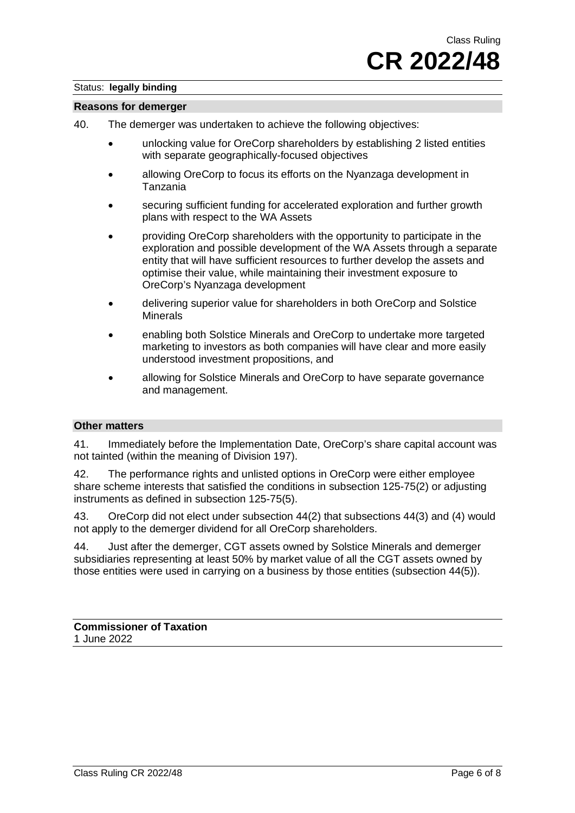#### **Reasons for demerger**

- 40. The demerger was undertaken to achieve the following objectives:
	- unlocking value for OreCorp shareholders by establishing 2 listed entities with separate geographically-focused objectives
	- allowing OreCorp to focus its efforts on the Nyanzaga development in Tanzania
	- securing sufficient funding for accelerated exploration and further growth plans with respect to the WA Assets
	- providing OreCorp shareholders with the opportunity to participate in the exploration and possible development of the WA Assets through a separate entity that will have sufficient resources to further develop the assets and optimise their value, while maintaining their investment exposure to OreCorp's Nyanzaga development
	- delivering superior value for shareholders in both OreCorp and Solstice Minerals
	- enabling both Solstice Minerals and OreCorp to undertake more targeted marketing to investors as both companies will have clear and more easily understood investment propositions, and
	- allowing for Solstice Minerals and OreCorp to have separate governance and management.

#### **Other matters**

41. Immediately before the Implementation Date, OreCorp's share capital account was not tainted (within the meaning of Division 197).

42. The performance rights and unlisted options in OreCorp were either employee share scheme interests that satisfied the conditions in subsection 125-75(2) or adjusting instruments as defined in subsection 125-75(5).

43. OreCorp did not elect under subsection 44(2) that subsections 44(3) and (4) would not apply to the demerger dividend for all OreCorp shareholders.

44. Just after the demerger, CGT assets owned by Solstice Minerals and demerger subsidiaries representing at least 50% by market value of all the CGT assets owned by those entities were used in carrying on a business by those entities (subsection 44(5)).

**Commissioner of Taxation** 1 June 2022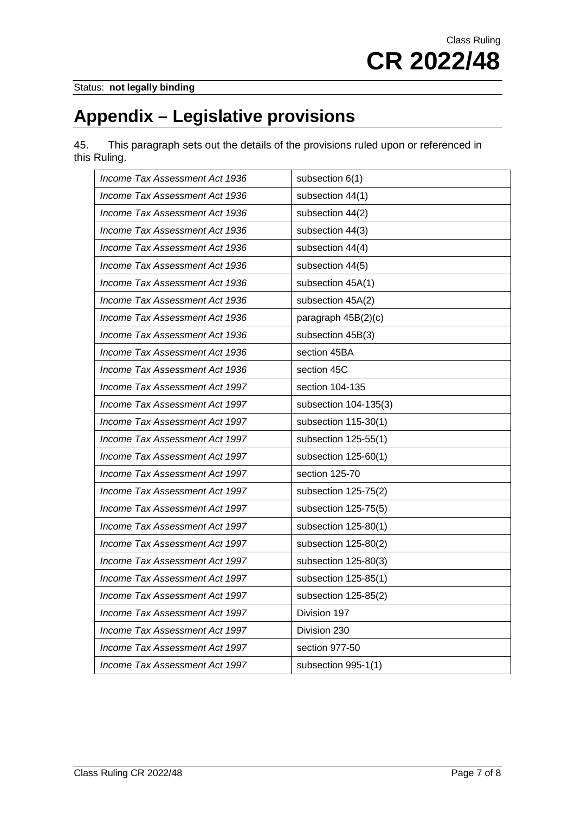# **Appendix – Legislative provisions**

45. This paragraph sets out the details of the provisions ruled upon or referenced in this Ruling.

| Income Tax Assessment Act 1936 | subsection 6(1)       |
|--------------------------------|-----------------------|
| Income Tax Assessment Act 1936 | subsection 44(1)      |
| Income Tax Assessment Act 1936 | subsection 44(2)      |
| Income Tax Assessment Act 1936 | subsection 44(3)      |
| Income Tax Assessment Act 1936 | subsection 44(4)      |
| Income Tax Assessment Act 1936 | subsection 44(5)      |
| Income Tax Assessment Act 1936 | subsection 45A(1)     |
| Income Tax Assessment Act 1936 | subsection 45A(2)     |
| Income Tax Assessment Act 1936 | paragraph 45B(2)(c)   |
| Income Tax Assessment Act 1936 | subsection 45B(3)     |
| Income Tax Assessment Act 1936 | section 45BA          |
| Income Tax Assessment Act 1936 | section 45C           |
| Income Tax Assessment Act 1997 | section 104-135       |
| Income Tax Assessment Act 1997 | subsection 104-135(3) |
| Income Tax Assessment Act 1997 | subsection 115-30(1)  |
| Income Tax Assessment Act 1997 | subsection 125-55(1)  |
| Income Tax Assessment Act 1997 | subsection 125-60(1)  |
| Income Tax Assessment Act 1997 | section 125-70        |
| Income Tax Assessment Act 1997 | subsection 125-75(2)  |
| Income Tax Assessment Act 1997 | subsection 125-75(5)  |
| Income Tax Assessment Act 1997 | subsection 125-80(1)  |
| Income Tax Assessment Act 1997 | subsection 125-80(2)  |
| Income Tax Assessment Act 1997 | subsection 125-80(3)  |
| Income Tax Assessment Act 1997 | subsection 125-85(1)  |
| Income Tax Assessment Act 1997 | subsection 125-85(2)  |
| Income Tax Assessment Act 1997 | Division 197          |
| Income Tax Assessment Act 1997 | Division 230          |
| Income Tax Assessment Act 1997 | section 977-50        |
| Income Tax Assessment Act 1997 | subsection 995-1(1)   |